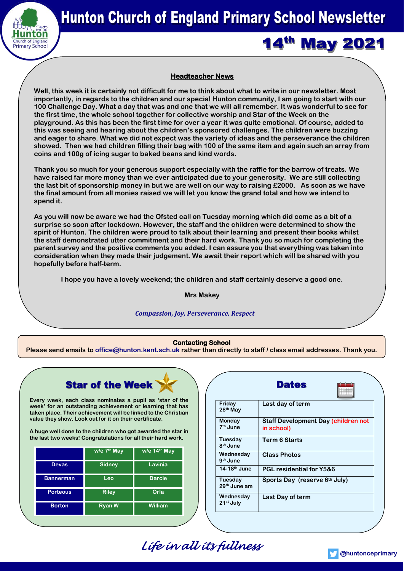

**14th May 2021** 

# **Headteacher News**

**Well, this week it is certainly not difficult for me to think about what to write in our newsletter. Most importantly, in regards to the children and our special Hunton community, I am going to start with our 100 Challenge Day. What a day that was and one that we will all remember. It was wonderful to see for the first time, the whole school together for collective worship and Star of the Week on the playground. As this has been the first time for over a year it was quite emotional. Of course, added to this was seeing and hearing about the children's sponsored challenges. The children were buzzing and eager to share. What we did not expect was the variety of ideas and the perseverance the children showed. Then we had children filling their bag with 100 of the same item and again such an array from coins and 100g of icing sugar to baked beans and kind words.** 

**Thank you so much for your generous support especially with the raffle for the barrow of treats. We have raised far more money than we ever anticipated due to your generosity. We are still collecting the last bit of sponsorship money in but we are well on our way to raising £2000. As soon as we have the final amount from all monies raised we will let you know the grand total and how we intend to spend it.**

**As you will now be aware we had the Ofsted call on Tuesday morning which did come as a bit of a surprise so soon after lockdown. However, the staff and the children were determined to show the spirit of Hunton. The children were proud to talk about their learning and present their books whilst the staff demonstrated utter commitment and their hard work. Thank you so much for completing the parent survey and the positive comments you added. I can assure you that everything was taken into consideration when they made their judgement. We await their report which will be shared with you hopefully before half-term.**

**I hope you have a lovely weekend; the children and staff certainly deserve a good one.**

**Mrs Makey**

## *Compassion, Joy, Perseverance, Respect*

## **Contacting School**

**Please send emails to [office@hunton.kent.sch.uk](mailto:office@hunton.kent.sch.uk) rather than directly to staff / class email addresses. Thank you.**

# **Star of the Week**

**Every week, each class nominates a pupil as 'star of the week' for an outstanding achievement or learning that has taken place. Their achievement will be linked to the Christian value they show. Look out for it on their certificate.**

**A huge well done to the children who got awarded the star in the last two weeks! Congratulations for all their hard work.**

|                  | w/e 7 <sup>th</sup> May | w/e 14 <sup>th</sup> May |
|------------------|-------------------------|--------------------------|
| <b>Devas</b>     | <b>Sidney</b>           | Lavinia                  |
| <b>Bannerman</b> | Leo                     | <b>Darcie</b>            |
| <b>Porteous</b>  | <b>Riley</b>            | Orla                     |
| <b>Borton</b>    | <b>Ryan W</b>           | William                  |

|                                        | <b>Dates</b>                                             |
|----------------------------------------|----------------------------------------------------------|
| Friday<br>28 <sup>th</sup> May         | Last day of term                                         |
| Monday<br>7 <sup>th</sup> June         | <b>Staff Development Day (children not</b><br>in school) |
| <b>Tuesday</b><br>8 <sup>th</sup> June | <b>Term 6 Starts</b>                                     |
| Wednesday<br>$9th$ June                | <b>Class Photos</b>                                      |
| 14-18 <sup>th</sup> June               | <b>PGL residential for Y5&amp;6</b>                      |
| Tuesday<br>29 <sup>th</sup> June am    | Sports Day (reserve 6th July)                            |
| Wednesday<br>21 <sup>st</sup> July     | Last Day of term                                         |